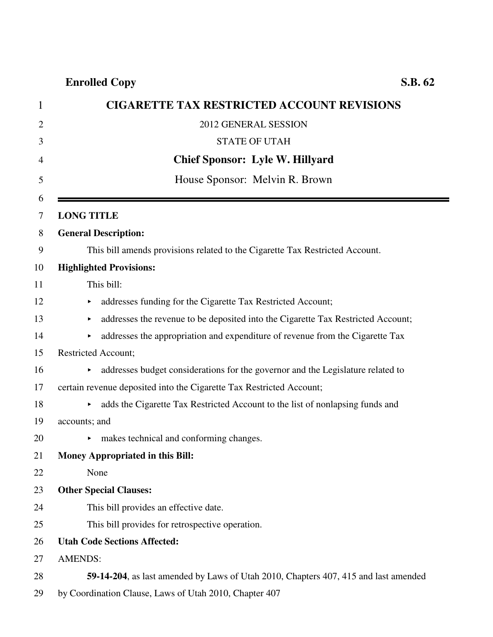|   | <b>CIGARETTE TAX RESTRICTED ACCOUNT REVISIONS</b>                                     |  |
|---|---------------------------------------------------------------------------------------|--|
| 2 | 2012 GENERAL SESSION                                                                  |  |
| 3 | <b>STATE OF UTAH</b>                                                                  |  |
|   | <b>Chief Sponsor: Lyle W. Hillyard</b>                                                |  |
|   | House Sponsor: Melvin R. Brown                                                        |  |
|   | <b>LONG TITLE</b>                                                                     |  |
|   | <b>General Description:</b>                                                           |  |
|   | This bill amends provisions related to the Cigarette Tax Restricted Account.          |  |
|   | <b>Highlighted Provisions:</b>                                                        |  |
|   | This bill:                                                                            |  |
|   | addresses funding for the Cigarette Tax Restricted Account;                           |  |
|   | addresses the revenue to be deposited into the Cigarette Tax Restricted Account;<br>▶ |  |
|   | addresses the appropriation and expenditure of revenue from the Cigarette Tax         |  |
|   | <b>Restricted Account;</b>                                                            |  |
|   | addresses budget considerations for the governor and the Legislature related to<br>▶. |  |
|   | certain revenue deposited into the Cigarette Tax Restricted Account;                  |  |
|   | adds the Cigarette Tax Restricted Account to the list of nonlapsing funds and         |  |
|   | accounts; and                                                                         |  |
|   | makes technical and conforming changes.                                               |  |
|   | Money Appropriated in this Bill:                                                      |  |
|   | None                                                                                  |  |
|   | <b>Other Special Clauses:</b>                                                         |  |
|   | This bill provides an effective date.                                                 |  |
|   | This bill provides for retrospective operation.                                       |  |
|   | <b>Utah Code Sections Affected:</b>                                                   |  |
|   | <b>AMENDS:</b>                                                                        |  |
|   | 59-14-204, as last amended by Laws of Utah 2010, Chapters 407, 415 and last amended   |  |
|   | by Coordination Clause, Laws of Utah 2010, Chapter 407                                |  |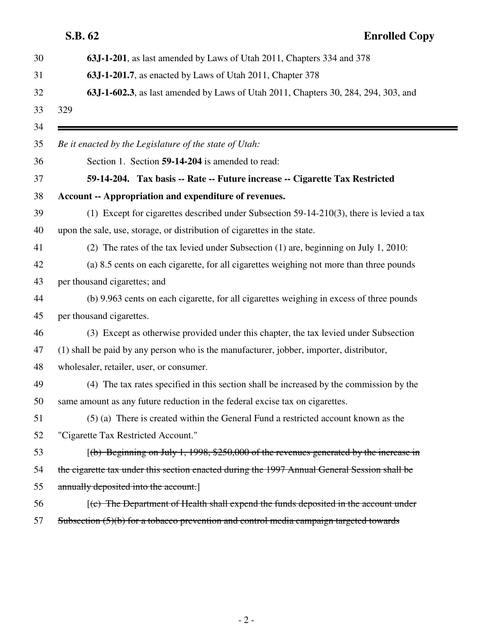| S.B. 62 |                                                                                              | <b>Enrolled Copy</b> |
|---------|----------------------------------------------------------------------------------------------|----------------------|
|         | 63J-1-201, as last amended by Laws of Utah 2011, Chapters 334 and 378                        |                      |
|         | 63J-1-201.7, as enacted by Laws of Utah 2011, Chapter 378                                    |                      |
|         | 63J-1-602.3, as last amended by Laws of Utah 2011, Chapters 30, 284, 294, 303, and           |                      |
| 329     |                                                                                              |                      |
|         | Be it enacted by the Legislature of the state of Utah:                                       |                      |
|         | Section 1. Section 59-14-204 is amended to read:                                             |                      |
|         | 59-14-204. Tax basis -- Rate -- Future increase -- Cigarette Tax Restricted                  |                      |
|         | Account -- Appropriation and expenditure of revenues.                                        |                      |
|         | (1) Except for cigarettes described under Subsection $59-14-210(3)$ , there is levied a tax  |                      |
|         | upon the sale, use, storage, or distribution of cigarettes in the state.                     |                      |
|         | (2) The rates of the tax levied under Subsection (1) are, beginning on July 1, 2010:         |                      |
|         | (a) 8.5 cents on each cigarette, for all cigarettes weighing not more than three pounds      |                      |
|         | per thousand cigarettes; and                                                                 |                      |
|         | (b) 9.963 cents on each cigarette, for all cigarettes weighing in excess of three pounds     |                      |
|         | per thousand cigarettes.                                                                     |                      |
|         | (3) Except as otherwise provided under this chapter, the tax levied under Subsection         |                      |
|         | (1) shall be paid by any person who is the manufacturer, jobber, importer, distributor,      |                      |
|         | wholesaler, retailer, user, or consumer.                                                     |                      |
|         | (4) The tax rates specified in this section shall be increased by the commission by the      |                      |
|         | same amount as any future reduction in the federal excise tax on cigarettes.                 |                      |
|         | (5) (a) There is created within the General Fund a restricted account known as the           |                      |
|         | "Cigarette Tax Restricted Account."                                                          |                      |
|         | $(6)$ Beginning on July 1, 1998, \$250,000 of the revenues generated by the increase in      |                      |
|         | the eigarette tax under this section enacted during the 1997 Annual General Session shall be |                      |
|         | annually deposited into the account.                                                         |                      |
|         | $(c)$ The Department of Health shall expend the funds deposited in the account under         |                      |
|         | Subsection (5)(b) for a tobacco prevention and control media campaign targeted towards       |                      |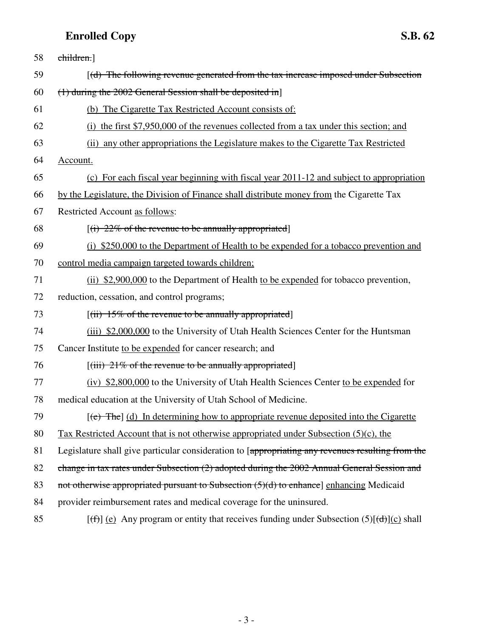| 58 | children.]                                                                                                                 |
|----|----------------------------------------------------------------------------------------------------------------------------|
| 59 | $[(d)$ The following revenue generated from the tax increase imposed under Subsection                                      |
| 60 | $(1)$ during the 2002 General Session shall be deposited in                                                                |
| 61 | (b) The Cigarette Tax Restricted Account consists of:                                                                      |
| 62 | (i) the first \$7,950,000 of the revenues collected from a tax under this section; and                                     |
| 63 | (ii) any other appropriations the Legislature makes to the Cigarette Tax Restricted                                        |
| 64 | Account.                                                                                                                   |
| 65 | (c) For each fiscal year beginning with fiscal year 2011-12 and subject to appropriation                                   |
| 66 | by the Legislature, the Division of Finance shall distribute money from the Cigarette Tax                                  |
| 67 | Restricted Account as follows:                                                                                             |
| 68 | $[(i) 22\%$ of the revenue to be annually appropriated                                                                     |
| 69 | (i) \$250,000 to the Department of Health to be expended for a tobacco prevention and                                      |
| 70 | control media campaign targeted towards children;                                                                          |
| 71 | (ii) \$2,900,000 to the Department of Health to be expended for tobacco prevention,                                        |
| 72 | reduction, cessation, and control programs;                                                                                |
| 73 | $[(ii) 15\%$ of the revenue to be annually appropriated                                                                    |
| 74 | (iii) \$2,000,000 to the University of Utah Health Sciences Center for the Huntsman                                        |
| 75 | Cancer Institute to be expended for cancer research; and                                                                   |
| 76 | $[(iii) 21%$ of the revenue to be annually appropriated                                                                    |
| 77 | (iv) \$2,800,000 to the University of Utah Health Sciences Center to be expended for                                       |
| 78 | medical education at the University of Utah School of Medicine.                                                            |
| 79 | $[\text{e}^{\text{e}}]$ The $[\text{d}^{\text{e}}]$ In determining how to appropriate revenue deposited into the Cigarette |
| 80 | Tax Restricted Account that is not otherwise appropriated under Subsection $(5)(c)$ , the                                  |
| 81 | Legislature shall give particular consideration to [appropriating any revenues resulting from the                          |
| 82 | change in tax rates under Subsection (2) adopted during the 2002 Annual General Session and                                |
| 83 | not otherwise appropriated pursuant to Subsection $(5)(d)$ to enhance] enhancing Medicaid                                  |
| 84 | provider reimbursement rates and medical coverage for the uninsured.                                                       |
| 85 | $[(f)]$ (e) Any program or entity that receives funding under Subsection (5) $[(d)](c)$ shall                              |

- 3 -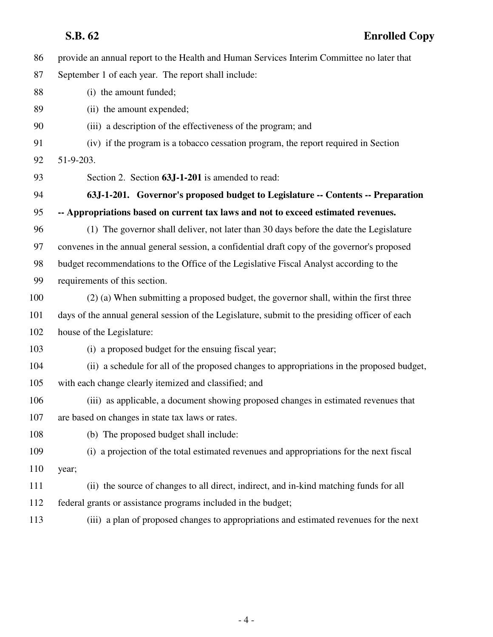| 86  | provide an annual report to the Health and Human Services Interim Committee no later that      |
|-----|------------------------------------------------------------------------------------------------|
| 87  | September 1 of each year. The report shall include:                                            |
| 88  | (i) the amount funded;                                                                         |
| 89  | (ii) the amount expended;                                                                      |
| 90  | (iii) a description of the effectiveness of the program; and                                   |
| 91  | (iv) if the program is a tobacco cessation program, the report required in Section             |
| 92  | 51-9-203.                                                                                      |
| 93  | Section 2. Section 63J-1-201 is amended to read:                                               |
| 94  | 63J-1-201. Governor's proposed budget to Legislature -- Contents -- Preparation                |
| 95  | -- Appropriations based on current tax laws and not to exceed estimated revenues.              |
| 96  | (1) The governor shall deliver, not later than 30 days before the date the Legislature         |
| 97  | convenes in the annual general session, a confidential draft copy of the governor's proposed   |
| 98  | budget recommendations to the Office of the Legislative Fiscal Analyst according to the        |
| 99  | requirements of this section.                                                                  |
| 100 | (2) (a) When submitting a proposed budget, the governor shall, within the first three          |
| 101 | days of the annual general session of the Legislature, submit to the presiding officer of each |
| 102 | house of the Legislature:                                                                      |
| 103 | (i) a proposed budget for the ensuing fiscal year;                                             |
| 104 | (ii) a schedule for all of the proposed changes to appropriations in the proposed budget,      |
| 105 | with each change clearly itemized and classified; and                                          |
| 106 | (iii) as applicable, a document showing proposed changes in estimated revenues that            |
| 107 | are based on changes in state tax laws or rates.                                               |
| 108 | (b) The proposed budget shall include:                                                         |
| 109 | (i) a projection of the total estimated revenues and appropriations for the next fiscal        |
| 110 | year;                                                                                          |
| 111 | (ii) the source of changes to all direct, indirect, and in-kind matching funds for all         |
| 112 | federal grants or assistance programs included in the budget;                                  |
| 113 | (iii) a plan of proposed changes to appropriations and estimated revenues for the next         |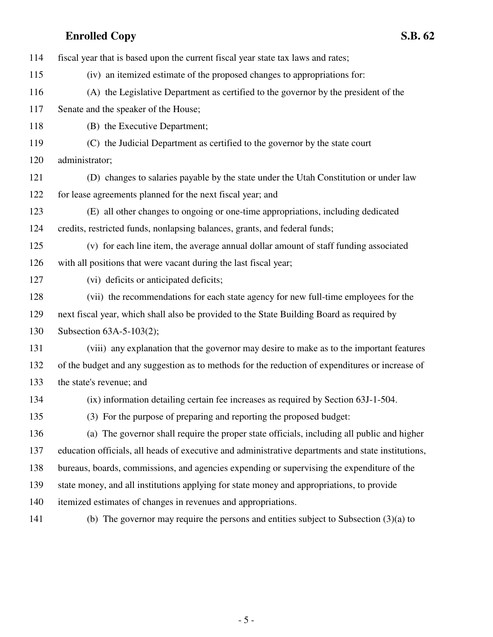| 114 | fiscal year that is based upon the current fiscal year state tax laws and rates;                   |
|-----|----------------------------------------------------------------------------------------------------|
| 115 | (iv) an itemized estimate of the proposed changes to appropriations for:                           |
| 116 | (A) the Legislative Department as certified to the governor by the president of the                |
| 117 | Senate and the speaker of the House;                                                               |
| 118 | (B) the Executive Department;                                                                      |
| 119 | (C) the Judicial Department as certified to the governor by the state court                        |
| 120 | administrator;                                                                                     |
| 121 | (D) changes to salaries payable by the state under the Utah Constitution or under law              |
| 122 | for lease agreements planned for the next fiscal year; and                                         |
| 123 | (E) all other changes to ongoing or one-time appropriations, including dedicated                   |
| 124 | credits, restricted funds, nonlapsing balances, grants, and federal funds;                         |
| 125 | (v) for each line item, the average annual dollar amount of staff funding associated               |
| 126 | with all positions that were vacant during the last fiscal year;                                   |
| 127 | (vi) deficits or anticipated deficits;                                                             |
| 128 | (vii) the recommendations for each state agency for new full-time employees for the                |
| 129 | next fiscal year, which shall also be provided to the State Building Board as required by          |
| 130 | Subsection 63A-5-103(2);                                                                           |
| 131 | (viii) any explanation that the governor may desire to make as to the important features           |
| 132 | of the budget and any suggestion as to methods for the reduction of expenditures or increase of    |
| 133 | the state's revenue; and                                                                           |
| 134 | (ix) information detailing certain fee increases as required by Section 63J-1-504.                 |
| 135 | (3) For the purpose of preparing and reporting the proposed budget:                                |
| 136 | (a) The governor shall require the proper state officials, including all public and higher         |
| 137 | education officials, all heads of executive and administrative departments and state institutions, |
| 138 | bureaus, boards, commissions, and agencies expending or supervising the expenditure of the         |
| 139 | state money, and all institutions applying for state money and appropriations, to provide          |
| 140 | itemized estimates of changes in revenues and appropriations.                                      |
| 141 | (b) The governor may require the persons and entities subject to Subsection $(3)(a)$ to            |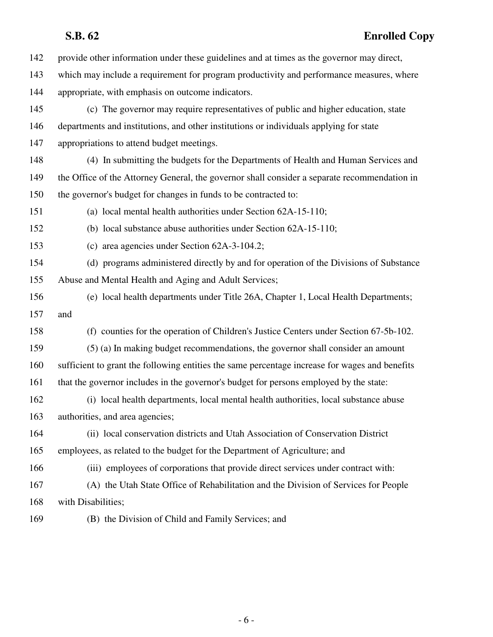# **S.B. 62 Enrolled Copy**

| 142 | provide other information under these guidelines and at times as the governor may direct,      |
|-----|------------------------------------------------------------------------------------------------|
| 143 | which may include a requirement for program productivity and performance measures, where       |
| 144 | appropriate, with emphasis on outcome indicators.                                              |
| 145 | (c) The governor may require representatives of public and higher education, state             |
| 146 | departments and institutions, and other institutions or individuals applying for state         |
| 147 | appropriations to attend budget meetings.                                                      |
| 148 | (4) In submitting the budgets for the Departments of Health and Human Services and             |
| 149 | the Office of the Attorney General, the governor shall consider a separate recommendation in   |
| 150 | the governor's budget for changes in funds to be contracted to:                                |
| 151 | (a) local mental health authorities under Section 62A-15-110;                                  |
| 152 | (b) local substance abuse authorities under Section 62A-15-110;                                |
| 153 | (c) area agencies under Section 62A-3-104.2;                                                   |
| 154 | (d) programs administered directly by and for operation of the Divisions of Substance          |
| 155 | Abuse and Mental Health and Aging and Adult Services;                                          |
| 156 | (e) local health departments under Title 26A, Chapter 1, Local Health Departments;             |
| 157 | and                                                                                            |
| 158 | (f) counties for the operation of Children's Justice Centers under Section 67-5b-102.          |
| 159 | (5) (a) In making budget recommendations, the governor shall consider an amount                |
| 160 | sufficient to grant the following entities the same percentage increase for wages and benefits |
| 161 | that the governor includes in the governor's budget for persons employed by the state:         |
| 162 | (i) local health departments, local mental health authorities, local substance abuse           |
| 163 | authorities, and area agencies;                                                                |
| 164 | (ii) local conservation districts and Utah Association of Conservation District                |
| 165 | employees, as related to the budget for the Department of Agriculture; and                     |
| 166 | (iii) employees of corporations that provide direct services under contract with:              |
| 167 | (A) the Utah State Office of Rehabilitation and the Division of Services for People            |
| 168 | with Disabilities;                                                                             |
| 169 | (B) the Division of Child and Family Services; and                                             |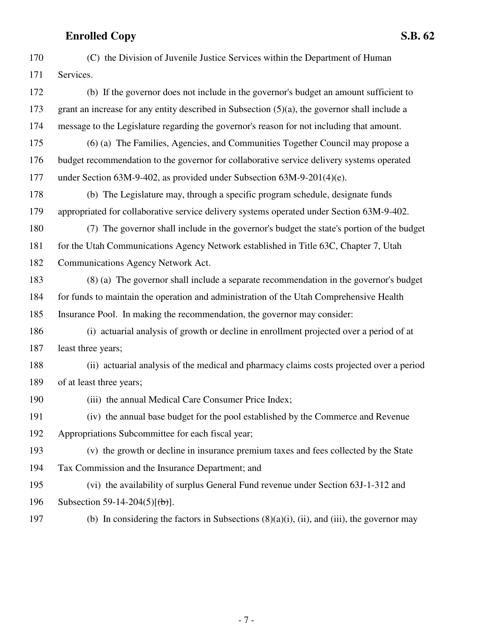| 170 | (C) the Division of Juvenile Justice Services within the Department of Human                     |
|-----|--------------------------------------------------------------------------------------------------|
| 171 | Services.                                                                                        |
| 172 | (b) If the governor does not include in the governor's budget an amount sufficient to            |
| 173 | grant an increase for any entity described in Subsection $(5)(a)$ , the governor shall include a |
| 174 | message to the Legislature regarding the governor's reason for not including that amount.        |
| 175 | (6) (a) The Families, Agencies, and Communities Together Council may propose a                   |
| 176 | budget recommendation to the governor for collaborative service delivery systems operated        |
| 177 | under Section 63M-9-402, as provided under Subsection 63M-9-201(4)(e).                           |
| 178 | (b) The Legislature may, through a specific program schedule, designate funds                    |
| 179 | appropriated for collaborative service delivery systems operated under Section 63M-9-402.        |
| 180 | (7) The governor shall include in the governor's budget the state's portion of the budget        |
| 181 | for the Utah Communications Agency Network established in Title 63C, Chapter 7, Utah             |
| 182 | Communications Agency Network Act.                                                               |
| 183 | (8) (a) The governor shall include a separate recommendation in the governor's budget            |
| 184 | for funds to maintain the operation and administration of the Utah Comprehensive Health          |
| 185 | Insurance Pool. In making the recommendation, the governor may consider:                         |
| 186 | (i) actuarial analysis of growth or decline in enrollment projected over a period of at          |
| 187 | least three years;                                                                               |
| 188 | (ii) actuarial analysis of the medical and pharmacy claims costs projected over a period         |
| 189 | of at least three years;                                                                         |
| 190 | (iii) the annual Medical Care Consumer Price Index;                                              |
| 191 | (iv) the annual base budget for the pool established by the Commerce and Revenue                 |
| 192 | Appropriations Subcommittee for each fiscal year;                                                |
| 193 | (v) the growth or decline in insurance premium taxes and fees collected by the State             |
| 194 | Tax Commission and the Insurance Department; and                                                 |
| 195 | (vi) the availability of surplus General Fund revenue under Section 63J-1-312 and                |
| 196 | Subsection 59-14-204(5) $[\frac{1}{10}]$ .                                                       |
| 197 | (b) In considering the factors in Subsections $(8)(a)(i)$ , (ii), and (iii), the governor may    |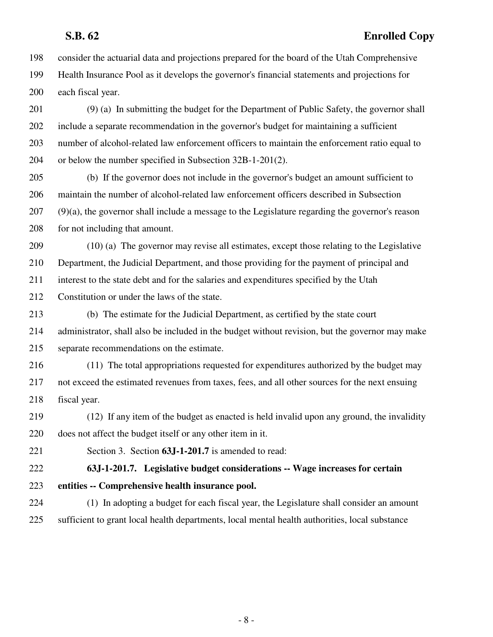## **S.B. 62 Enrolled Copy**

198 consider the actuarial data and projections prepared for the board of the Utah Comprehensive 199 Health Insurance Pool as it develops the governor's financial statements and projections for 200 each fiscal year.

201 (9) (a) In submitting the budget for the Department of Public Safety, the governor shall 202 include a separate recommendation in the governor's budget for maintaining a sufficient 203 number of alcohol-related law enforcement officers to maintain the enforcement ratio equal to 204 or below the number specified in Subsection 32B-1-201(2).

205 (b) If the governor does not include in the governor's budget an amount sufficient to 206 maintain the number of alcohol-related law enforcement officers described in Subsection 207 (9)(a), the governor shall include a message to the Legislature regarding the governor's reason 208 for not including that amount.

209 (10) (a) The governor may revise all estimates, except those relating to the Legislative 210 Department, the Judicial Department, and those providing for the payment of principal and

211 interest to the state debt and for the salaries and expenditures specified by the Utah

212 Constitution or under the laws of the state.

213 (b) The estimate for the Judicial Department, as certified by the state court 214 administrator, shall also be included in the budget without revision, but the governor may make 215 separate recommendations on the estimate.

216 (11) The total appropriations requested for expenditures authorized by the budget may 217 not exceed the estimated revenues from taxes, fees, and all other sources for the next ensuing 218 fiscal year.

219 (12) If any item of the budget as enacted is held invalid upon any ground, the invalidity 220 does not affect the budget itself or any other item in it.

221 Section 3. Section **63J-1-201.7** is amended to read:

222 **63J-1-201.7. Legislative budget considerations -- Wage increases for certain** 223 **entities -- Comprehensive health insurance pool.**

224 (1) In adopting a budget for each fiscal year, the Legislature shall consider an amount 225 sufficient to grant local health departments, local mental health authorities, local substance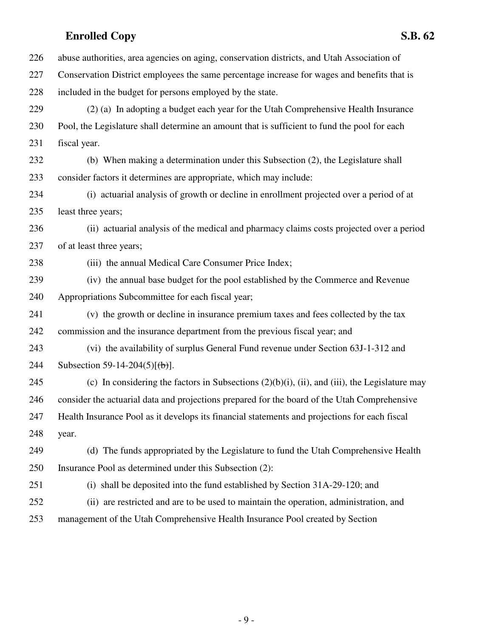**Enrolled Copy S.B. 62** 226 abuse authorities, area agencies on aging, conservation districts, and Utah Association of 227 Conservation District employees the same percentage increase for wages and benefits that is 228 included in the budget for persons employed by the state. 229 (2) (a) In adopting a budget each year for the Utah Comprehensive Health Insurance 230 Pool, the Legislature shall determine an amount that is sufficient to fund the pool for each 231 fiscal year. 232 (b) When making a determination under this Subsection (2), the Legislature shall 233 consider factors it determines are appropriate, which may include: 234 (i) actuarial analysis of growth or decline in enrollment projected over a period of at 235 least three years; 236 (ii) actuarial analysis of the medical and pharmacy claims costs projected over a period 237 of at least three years; 238 (iii) the annual Medical Care Consumer Price Index; 239 (iv) the annual base budget for the pool established by the Commerce and Revenue 240 Appropriations Subcommittee for each fiscal year; 241 (v) the growth or decline in insurance premium taxes and fees collected by the tax 242 commission and the insurance department from the previous fiscal year; and 243 (vi) the availability of surplus General Fund revenue under Section 63J-1-312 and 244 Subsection 59-14-204(5) $\lceil (\frac{b}{b}) \rceil$ . 245 (c) In considering the factors in Subsections  $(2)(b)(i)$ , (ii), and (iii), the Legislature may 246 consider the actuarial data and projections prepared for the board of the Utah Comprehensive 247 Health Insurance Pool as it develops its financial statements and projections for each fiscal 248 year. 249 (d) The funds appropriated by the Legislature to fund the Utah Comprehensive Health 250 Insurance Pool as determined under this Subsection (2): 251 (i) shall be deposited into the fund established by Section 31A-29-120; and 252 (ii) are restricted and are to be used to maintain the operation, administration, and 253 management of the Utah Comprehensive Health Insurance Pool created by Section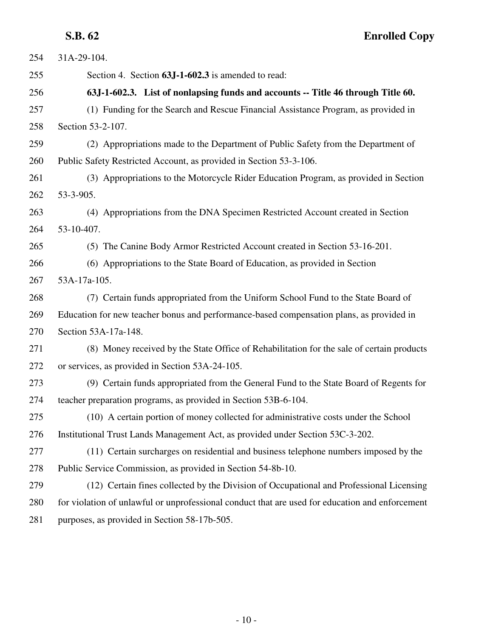**S.B. 62 Enrolled Copy**

| 254 | 31A-29-104.                                                                                     |
|-----|-------------------------------------------------------------------------------------------------|
| 255 | Section 4. Section 63J-1-602.3 is amended to read:                                              |
| 256 | 63J-1-602.3. List of nonlapsing funds and accounts -- Title 46 through Title 60.                |
| 257 | (1) Funding for the Search and Rescue Financial Assistance Program, as provided in              |
| 258 | Section 53-2-107.                                                                               |
| 259 | (2) Appropriations made to the Department of Public Safety from the Department of               |
| 260 | Public Safety Restricted Account, as provided in Section 53-3-106.                              |
| 261 | (3) Appropriations to the Motorcycle Rider Education Program, as provided in Section            |
| 262 | 53-3-905.                                                                                       |
| 263 | (4) Appropriations from the DNA Specimen Restricted Account created in Section                  |
| 264 | 53-10-407.                                                                                      |
| 265 | (5) The Canine Body Armor Restricted Account created in Section 53-16-201.                      |
| 266 | (6) Appropriations to the State Board of Education, as provided in Section                      |
| 267 | 53A-17a-105.                                                                                    |
| 268 | (7) Certain funds appropriated from the Uniform School Fund to the State Board of               |
| 269 | Education for new teacher bonus and performance-based compensation plans, as provided in        |
| 270 | Section 53A-17a-148.                                                                            |
| 271 | (8) Money received by the State Office of Rehabilitation for the sale of certain products       |
| 272 | or services, as provided in Section 53A-24-105.                                                 |
| 273 | (9) Certain funds appropriated from the General Fund to the State Board of Regents for          |
| 274 | teacher preparation programs, as provided in Section 53B-6-104.                                 |
| 275 | (10) A certain portion of money collected for administrative costs under the School             |
| 276 | Institutional Trust Lands Management Act, as provided under Section 53C-3-202.                  |
| 277 | (11) Certain surcharges on residential and business telephone numbers imposed by the            |
| 278 | Public Service Commission, as provided in Section 54-8b-10.                                     |
| 279 | (12) Certain fines collected by the Division of Occupational and Professional Licensing         |
| 280 | for violation of unlawful or unprofessional conduct that are used for education and enforcement |
| 281 | purposes, as provided in Section 58-17b-505.                                                    |